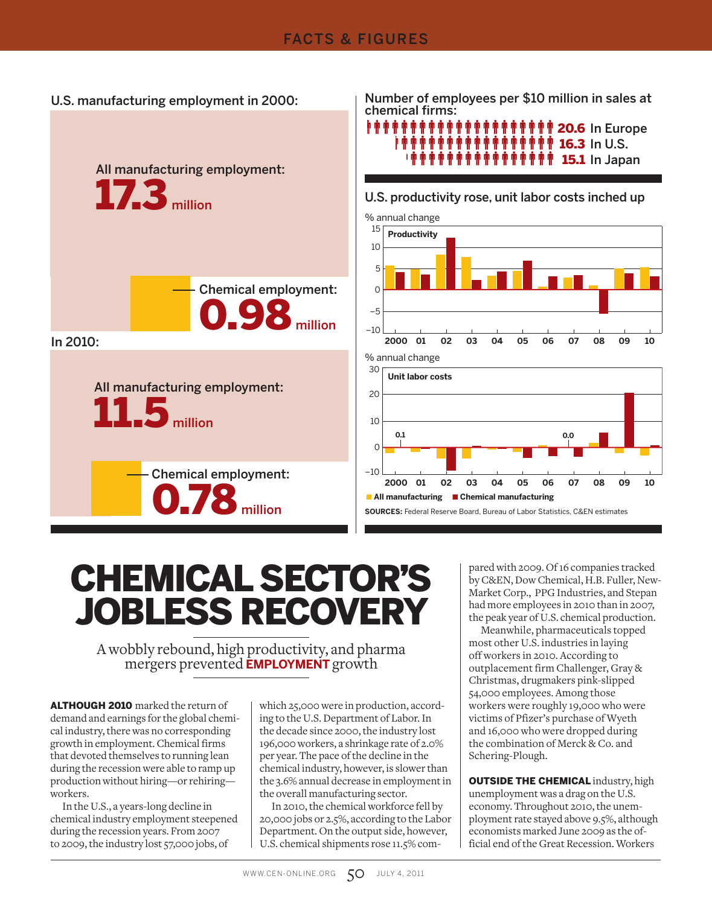



U.S. manufacturing employment in 2000: Number of employees per \$10 million in sales at chemical firms:

# i phini phini phini phini phini 20.6 In Europe 16.3 In U.S. 15.1 In Japan



#### U.S. productivity rose, unit labor costs inched up

# CHEMICAL SECTOR'S JOBLESS RECOVERY

A wobbly rebound, high productivity, and pharma mergers prevented **EMPLOYMENT** growth

ALTHOUGH 2010 marked the return of demand and earnings for the global chemical industry, there was no corresponding growth in employment. Chemical firms that devoted themselves to running lean during the recession were able to ramp up production without hiring—or rehiring workers.

In the U.S., a years-long decline in chemical industry employment steepened during the recession years. From 2007 to 2009, the industry lost 57,000 jobs, of

which 25,000 were in production, according to the U.S. Department of Labor. In the decade since 2000, the industry lost 196,000 workers, a shrinkage rate of 2.0% per year. The pace of the decline in the chemical industry, however, is slower than the 3.6% annual decrease in employment in the overall manufacturing sector.

In 2010, the chemical workforce fell by 20,000 jobs or 2.5%, according to the Labor Department. On the output side, however, U.S. chemical shipments rose 11.5% com-

pared with 2009. Of 16 companies tracked by C&EN, Dow Chemical, H.B. Fuller, New-Market Corp., PPG Industries, and Stepan had more employees in 2010 than in 2007, the peak year of U.S. chemical production.

Meanwhile, pharmaceuticals topped most other U.S. industries in laying off workers in 2010. According to outplacement firm Challenger, Gray & Christmas, drugmakers pink-slipped 54,000 employees. Among those workers were roughly 19,000 who were victims of Pfizer's purchase of Wyeth and 16,000 who were dropped during the combination of Merck & Co. and Schering-Plough.

**OUTSIDE THE CHEMICAL** industry, high unemployment was a drag on the U.S. economy. Throughout 2010, the unemployment rate stayed above 9.5%, although economists marked June 2009 as the official end of the Great Recession. Workers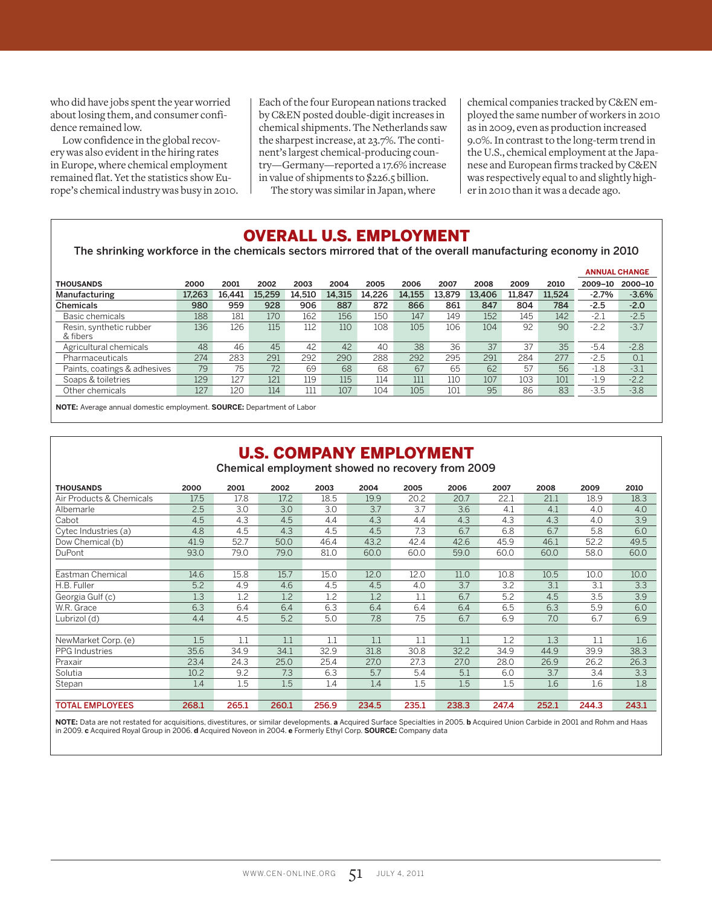who did have jobs spent the year worried about losing them, and consumer confidence remained low.

Low confidence in the global recovery was also evident in the hiring rates in Europe, where chemical employment remained flat. Yet the statistics show Europe's chemical industry was busy in 2010. Each of the four European nations tracked by C&EN posted double-digit increases in chemical shipments. The Netherlands saw the sharpest increase, at 23.7%. The continent's largest chemical-producing country—Germany—reported a 17.6% increase in value of shipments to \$226.5 billion.

The story was similar in Japan, where

chemical companies tracked by C&EN employed the same number of workers in 2010 as in 2009, even as production increased 9.0%. In contrast to the long-term trend in the U.S., chemical employment at the Japanese and European firms tracked by C&EN was respectively equal to and slightly higher in 2010 than it was a decade ago.

#### OVERALL U.S. EMPLOYMENT

The shrinking workforce in the chemicals sectors mirrored that of the overall manufacturing economy in 2010

|                                     |        |        |        |        |        |        |        |        |        |        |        |         | <b>ANNUAL CHANGE</b> |
|-------------------------------------|--------|--------|--------|--------|--------|--------|--------|--------|--------|--------|--------|---------|----------------------|
| <b>THOUSANDS</b>                    | 2000   | 2001   | 2002   | 2003   | 2004   | 2005   | 2006   | 2007   | 2008   | 2009   | 2010   | 2009-10 | 2000-10              |
| Manufacturing                       | 17.263 | 16.441 | 15.259 | 14.510 | 14,315 | 14.226 | 14.155 | 13.879 | 13,406 | 11.847 | 11.524 | $-2.7%$ | $-3.6%$              |
| Chemicals                           | 980    | 959    | 928    | 906    | 887    | 872    | 866    | 861    | 847    | 804    | 784    | $-2.5$  | $-2.0$               |
| Basic chemicals                     | 188    | 181    | 170    | 162    | 156    | 150    | 147    | 149    | 152    | 145    | 142    | $-2.1$  | $-2.5$               |
| Resin, synthetic rubber<br>& fibers | 136    | 126    | 115    | 112    | 110    | 108    | 105    | 106    | 104    | 92     | 90     | $-2.2$  | $-3.7$               |
| Agricultural chemicals              | 48     | 46     | 45     | 42     | 42     | 40     | 38     | 36     | 37     | 37     | 35     | $-5.4$  | $-2.8$               |
| Pharmaceuticals                     | 274    | 283    | 291    | 292    | 290    | 288    | 292    | 295    | 291    | 284    | 277    | $-2.5$  | 0.1                  |
| Paints, coatings & adhesives        | 79     | 75     | 72     | 69     | 68     | 68     | 67     | 65     | 62     | 57     | 56     | $-1.8$  | $-3.1$               |
| Soaps & toiletries                  | 129    | 127    | 121    | 119    | 115    | 114    | 111    | 110    | 107    | 103    | 101    | $-1.9$  | $-2.2$               |
| Other chemicals                     | 127    | 120    | 114    | 111    | 107    | 104    | 105    | 101    | 95     | 86     | 83     | $-3.5$  | $-3.8$               |
| .                                   |        | .      |        |        |        |        |        |        |        |        |        |         |                      |

**NOTE:** Average annual domestic employment. **SOURCE:** Department of Labor

#### U.S. COMPANY EMPLOYMENT

Chemical employment showed no recovery from 2009

| <b>THOUSANDS</b>         | 2000  | 2001  | 2002  | 2003  | 2004  | 2005  | 2006  | 2007  | 2008  | 2009  | 2010  |
|--------------------------|-------|-------|-------|-------|-------|-------|-------|-------|-------|-------|-------|
| Air Products & Chemicals | 17.5  | 17.8  | 17.2  | 18.5  | 19.9  | 20.2  | 20.7  | 22.1  | 21.1  | 18.9  | 18.3  |
| Albemarle                | 2.5   | 3.0   | 3.0   | 3.0   | 3.7   | 3.7   | 3.6   | 4.1   | 4.1   | 4.0   | 4.0   |
| Cabot                    | 4.5   | 4.3   | 4.5   | 4.4   | 4.3   | 4.4   | 4.3   | 4.3   | 4.3   | 4.0   | 3.9   |
| Cytec Industries (a)     | 4.8   | 4.5   | 4.3   | 4.5   | 4.5   | 7.3   | 6.7   | 6.8   | 6.7   | 5.8   | 6.0   |
| Dow Chemical (b)         | 41.9  | 52.7  | 50.0  | 46.4  | 43.2  | 42.4  | 42.6  | 45.9  | 46.1  | 52.2  | 49.5  |
| DuPont                   | 93.0  | 79.0  | 79.0  | 81.0  | 60.0  | 60.0  | 59.0  | 60.0  | 60.0  | 58.0  | 60.0  |
|                          |       |       |       |       |       |       |       |       |       |       |       |
| Eastman Chemical         | 14.6  | 15.8  | 15.7  | 15.0  | 12.0  | 12.0  | 11.0  | 10.8  | 10.5  | 10.0  | 10.0  |
| H.B. Fuller              | 5.2   | 4.9   | 4.6   | 4.5   | 4.5   | 4.0   | 3.7   | 3.2   | 3.1   | 3.1   | 3.3   |
| Georgia Gulf (c)         | 1.3   | 1.2   | 1.2   | 1.2   | 1.2   | 1.1   | 6.7   | 5.2   | 4.5   | 3.5   | 3.9   |
| W.R. Grace               | 6.3   | 6.4   | 6.4   | 6.3   | 6.4   | 6.4   | 6.4   | 6.5   | 6.3   | 5.9   | 6.0   |
| Lubrizol (d)             | 4.4   | 4.5   | 5.2   | 5.0   | 7.8   | 7.5   | 6.7   | 6.9   | 7.0   | 6.7   | 6.9   |
|                          |       |       |       |       |       |       |       |       |       |       |       |
| NewMarket Corp. (e)      | 1.5   | 1.1   | 1.1   | 1.1   | 1.1   | 1.1   | 1.1   | 1.2   | 1.3   | 1.1   | 1.6   |
| <b>PPG</b> Industries    | 35.6  | 34.9  | 34.1  | 32.9  | 31.8  | 30.8  | 32.2  | 34.9  | 44.9  | 39.9  | 38.3  |
| Praxair                  | 23.4  | 24.3  | 25.0  | 25.4  | 27.0  | 27.3  | 27.0  | 28.0  | 26.9  | 26.2  | 26.3  |
| Solutia                  | 10.2  | 9.2   | 7.3   | 6.3   | 5.7   | 5.4   | 5.1   | 6.0   | 3.7   | 3.4   | 3.3   |
| Stepan                   | 1.4   | 1.5   | 1.5   | 1.4   | 1.4   | 1.5   | 1.5   | 1.5   | 1.6   | 1.6   | 1.8   |
|                          |       |       |       |       |       |       |       |       |       |       |       |
| <b>TOTAL EMPLOYEES</b>   | 268.1 | 265.1 | 260.1 | 256.9 | 234.5 | 235.1 | 238.3 | 247.4 | 252.1 | 244.3 | 243.1 |

**NOTE:** Data are not restated for acquisitions, divestitures, or similar developments. **a** Acquired Surface Specialties in 2005. **b** Acquired Union Carbide in 2001 and Rohm and Haas in 2009. **c** Acquired Royal Group in 2006. **d** Acquired Noveon in 2004. **e** Formerly Ethyl Corp. **SOURCE:** Company data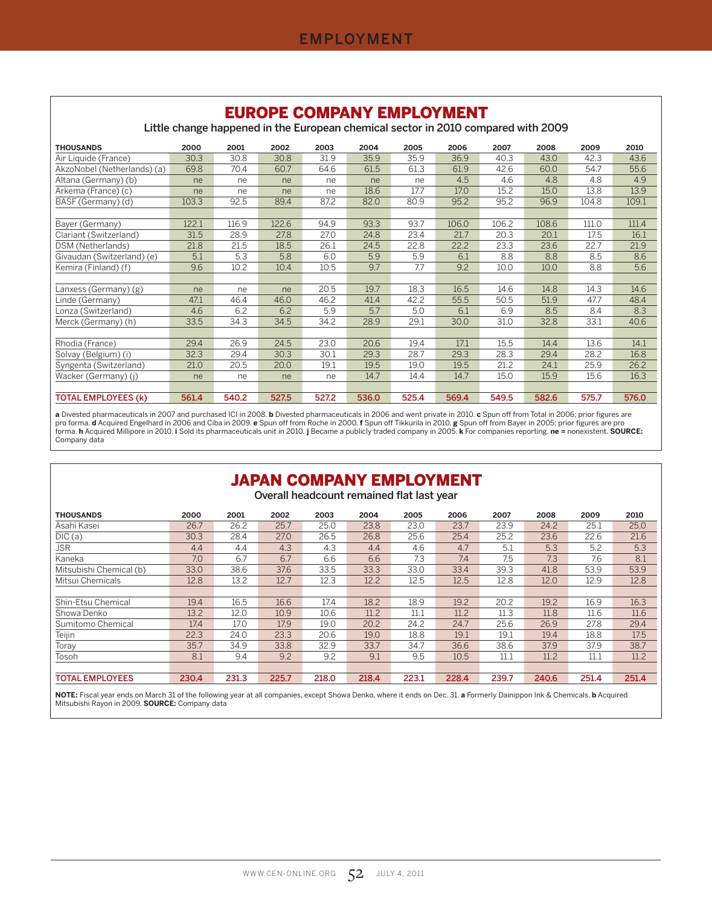EUDODE COMPANY EMPLOYMENT

| EURUPE GUMPANT EMPLUTMENT<br>Little change happened in the European chemical sector in 2010 compared with 2009 |       |       |       |       |       |       |       |       |       |       |       |  |  |  |
|----------------------------------------------------------------------------------------------------------------|-------|-------|-------|-------|-------|-------|-------|-------|-------|-------|-------|--|--|--|
| <b>THOUSANDS</b>                                                                                               | 2000  | 2001  | 2002  | 2003  | 2004  | 2005  | 2006  | 2007  | 2008  | 2009  | 2010  |  |  |  |
| Air Liquide (France)                                                                                           | 30.3  | 30.8  | 30.8  | 31.9  | 35.9  | 35.9  | 36.9  | 40.3  | 43.0  | 42.3  | 43.6  |  |  |  |
| AkzoNobel (Netherlands) (a)                                                                                    | 69.8  | 70.4  | 60.7  | 64.6  | 61.5  | 61.3  | 61.9  | 42.6  | 60.0  | 54.7  | 55.6  |  |  |  |
| Altana (Germany) (b)                                                                                           | ne    | ne    | ne    | ne    | ne    | ne    | 4.5   | 4.6   | 4.8   | 4.8   | 4.9   |  |  |  |
| Arkema (France) (c)                                                                                            | ne    | ne    | ne    | ne    | 18.6  | 17.7  | 17.0  | 15.2  | 15.0  | 13.8  | 13.9  |  |  |  |
| BASF (Germany) (d)                                                                                             | 103.3 | 92.5  | 89.4  | 87.2  | 82.0  | 80.9  | 95.2  | 95.2  | 96.9  | 104.8 | 109.1 |  |  |  |
|                                                                                                                |       |       |       |       |       |       |       |       |       |       |       |  |  |  |
| Bayer (Germany)                                                                                                | 122.1 | 116.9 | 122.6 | 94.9  | 93.3  | 93.7  | 106.0 | 106.2 | 108.6 | 111.0 | 111.4 |  |  |  |
| Clariant (Switzerland)                                                                                         | 31.5  | 28.9  | 27.8  | 27.0  | 24.8  | 23.4  | 21.7  | 20.3  | 20.1  | 17.5  | 16.1  |  |  |  |
| DSM (Netherlands)                                                                                              | 21.8  | 21.5  | 18.5  | 26.1  | 24.5  | 22.8  | 22.2  | 23.3  | 23.6  | 22.7  | 21.9  |  |  |  |
| Givaudan (Switzerland) (e)                                                                                     | 5.1   | 5.3   | 5.8   | 6.0   | 5.9   | 5.9   | 6.1   | 8.8   | 8.8   | 8.5   | 8.6   |  |  |  |
| Kemira (Finland) (f)                                                                                           | 9.6   | 10.2  | 10.4  | 10.5  | 9.7   | 7.7   | 9.2   | 10.0  | 10.0  | 8.8   | 5.6   |  |  |  |
|                                                                                                                |       |       |       |       |       |       |       |       |       |       |       |  |  |  |
| Lanxess (Germany) (g)                                                                                          | ne    | ne    | ne    | 20.5  | 19.7  | 18.3  | 16.5  | 14.6  | 14.8  | 14.3  | 14.6  |  |  |  |
| Linde (Germany)                                                                                                | 47.1  | 46.4  | 46.0  | 46.2  | 41.4  | 42.2  | 55.5  | 50.5  | 51.9  | 47.7  | 48.4  |  |  |  |
| Lonza (Switzerland)                                                                                            | 4.6   | 6.2   | 6.2   | 5.9   | 5.7   | 5.0   | 6.1   | 6.9   | 8.5   | 8.4   | 8.3   |  |  |  |
| Merck (Germany) (h)                                                                                            | 33.5  | 34.3  | 34.5  | 34.2  | 28.9  | 29.1  | 30.0  | 31.0  | 32.8  | 33.1  | 40.6  |  |  |  |
|                                                                                                                |       |       |       |       |       |       |       |       |       |       |       |  |  |  |
| Rhodia (France)                                                                                                | 29.4  | 26.9  | 24.5  | 23.0  | 20.6  | 19.4  | 17.1  | 15.5  | 14.4  | 13.6  | 14.1  |  |  |  |
| Solvay (Belgium) (i)                                                                                           | 32.3  | 29.4  | 30.3  | 30.1  | 29.3  | 28.7  | 29.3  | 28.3  | 29.4  | 28.2  | 16.8  |  |  |  |
| Syngenta (Switzerland)                                                                                         | 21.0  | 20.5  | 20.0  | 19.1  | 19.5  | 19.0  | 19.5  | 21.2  | 24.1  | 25.9  | 26.2  |  |  |  |
| Wacker (Germany) (i)                                                                                           | ne    | ne    | ne    | ne    | 14.7  | 14.4  | 14.7  | 15.0  | 15.9  | 15.6  | 16.3  |  |  |  |
|                                                                                                                |       |       |       |       |       |       |       |       |       |       |       |  |  |  |
| <b>TOTAL EMPLOYEES (k)</b>                                                                                     | 561.4 | 540.2 | 527.5 | 527.2 | 536.0 | 525.4 | 569.4 | 549.5 | 582.6 | 575.7 | 576.0 |  |  |  |

a Divested pharmaceuticals in 2007 and purchased ICI in 2008. **b** Divested pharmaceuticals in 2006 and went private in 2010. c Spun off from Total in 2006; prior figures are<br>pro forma. **d** Acquired Engelhard in 2006 and Ci Company data

# JAPAN COMPANY EMPLOYMENT

Overall headcount remained flat last year

| <b>THOUSANDS</b>        | 2000  | 2001  | 2002  | 2003  | 2004  | 2005  | 2006  | 2007  | 2008  | 2009     | 2010  |
|-------------------------|-------|-------|-------|-------|-------|-------|-------|-------|-------|----------|-------|
| Asahi Kasei             | 26.7  | 26.2  | 25.7  | 25.0  | 23.8  | 23.0  | 23.7  | 23.9  | 24.2  | 25.1     | 25.0  |
| DIC(a)                  | 30.3  | 28.4  | 27.0  | 26.5  | 26.8  | 25.6  | 25.4  | 25.2  | 23.6  | 22.6     | 21.6  |
| JSR                     | 4.4   | 4.4   | 4.3   | 4.3   | 4.4   | 4.6   | 4.7   | 5.1   | 5.3   | 5.2      | 5.3   |
| Kaneka                  | 7.0   | 6.7   | 6.7   | 6.6   | 6.6   | 7.3   | 7.4   | 7.5   | 7.3   | 7.6      | 8.1   |
| Mitsubishi Chemical (b) | 33.0  | 38.6  | 37.6  | 33.5  | 33.3  | 33.0  | 33.4  | 39.3  | 41.8  | 53.9     | 53.9  |
| Mitsui Chemicals        | 12.8  | 13.2  | 12.7  | 12.3  | 12.2  | 12.5  | 12.5  | 12.8  | 12.0  | 12.9     | 12.8  |
|                         |       |       |       |       |       |       |       |       |       |          |       |
| Shin-Etsu Chemical      | 19.4  | 16.5  | 16.6  | 17.4  | 18.2  | 18.9  | 19.2  | 20.2  | 19.2  | 16.9     | 16.3  |
| Showa Denko             | 13.2  | 12.0  | 10.9  | 10.6  | 11.2  | 11.1  | 11.2  | 11.3  | 11.8  | 11.6     | 11.6  |
| Sumitomo Chemical       | 17.4  | 17.0  | 17.9  | 19.0  | 20.2  | 24.2  | 24.7  | 25.6  | 26.9  | 27.8     | 29.4  |
| Teijin                  | 22.3  | 24.0  | 23.3  | 20.6  | 19.0  | 18.8  | 19.1  | 19.1  | 19.4  | 18.8     | 17.5  |
| Toray                   | 35.7  | 34.9  | 33.8  | 32.9  | 33.7  | 34.7  | 36.6  | 38.6  | 37.9  | 37.9     | 38.7  |
| Tosoh                   | 8.1   | 9.4   | 9.2   | 9.2   | 9.1   | 9.5   | 10.5  | 11.1  | 11.2  | $11.1\,$ | 11.2  |
|                         |       |       |       |       |       |       |       |       |       |          |       |
| <b>TOTAL EMPLOYEES</b>  | 230.4 | 231.3 | 225.7 | 218.0 | 218.4 | 223.1 | 228.4 | 239.7 | 240.6 | 251.4    | 251.4 |

**NOTE:** Fiscal year ends on March 31 of the following year at all companies, except Showa Denko, where it ends on Dec. 31. **a** Formerly Dainippon Ink & Chemicals. **b** Acquired<br>Mitsubishi Rayon in 2009. **SOURCE:** Company da